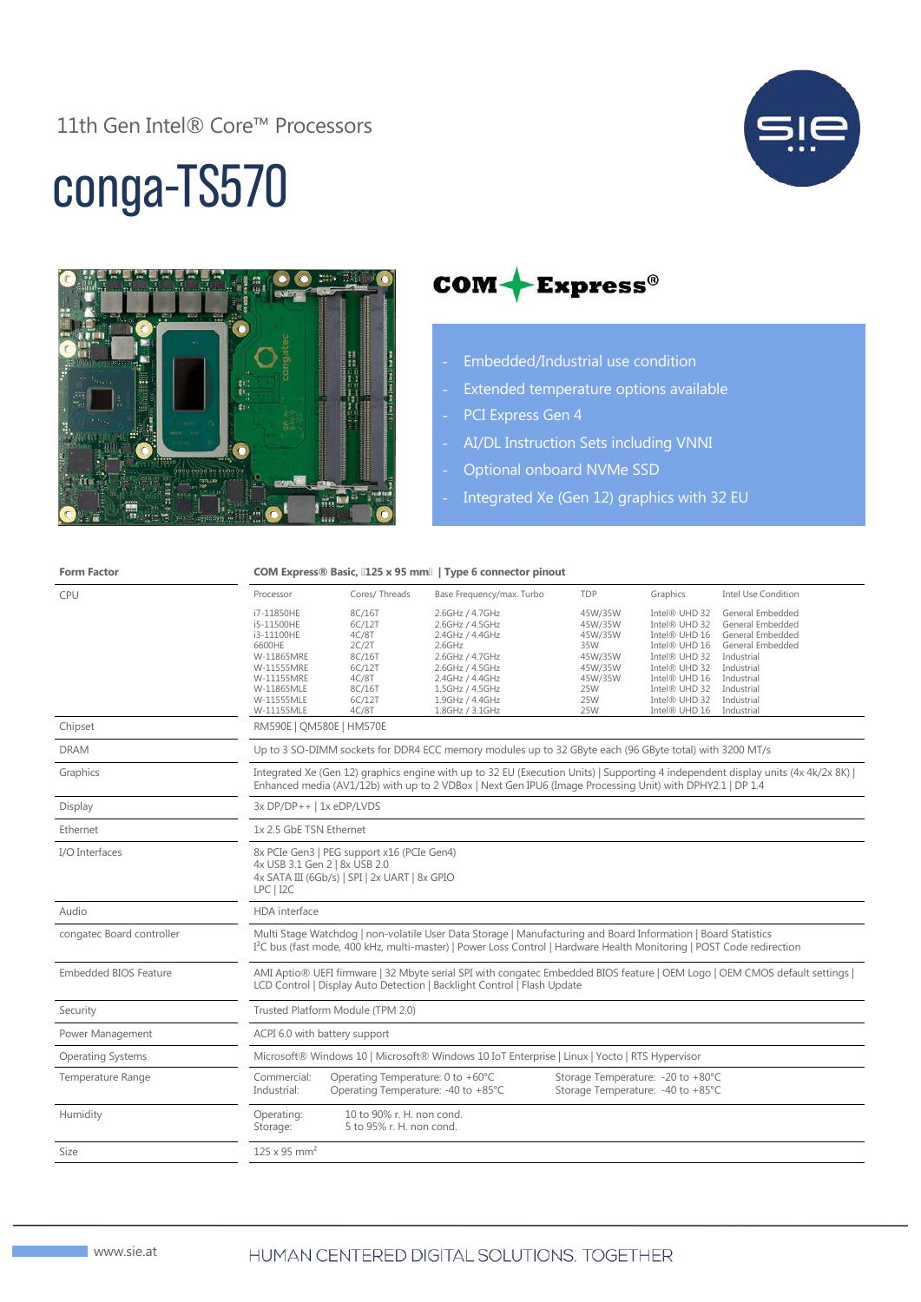11th Gen Intel® Core™ Processors



# conga-TS570



### $COM + Express^{\circ}$

- Embedded/Industrial use condition
- Extended temperature options available
- PCI Express Gen 4
- AI/DL Instruction Sets including VNNI
- Optional onboard NVMe SSD
- Integrated Xe (Gen 12) graphics with 32 EU

| <b>Form Factor</b>           | COM Express® Basic, [125 x 95 mm]   Type 6 connector pinout                                                                                                                                                                                         |                                                                                              |                                                                                                                                                                                      |                                                                                            |                                                                                                                                                                        |                                                                                                                                                                  |  |
|------------------------------|-----------------------------------------------------------------------------------------------------------------------------------------------------------------------------------------------------------------------------------------------------|----------------------------------------------------------------------------------------------|--------------------------------------------------------------------------------------------------------------------------------------------------------------------------------------|--------------------------------------------------------------------------------------------|------------------------------------------------------------------------------------------------------------------------------------------------------------------------|------------------------------------------------------------------------------------------------------------------------------------------------------------------|--|
| <b>CPU</b>                   | Processor                                                                                                                                                                                                                                           | Cores/Threads                                                                                | Base Frequency/max. Turbo                                                                                                                                                            | TDP                                                                                        | Graphics                                                                                                                                                               | <b>Intel Use Condition</b>                                                                                                                                       |  |
|                              | i7-11850HE<br>i5-11500HE<br>i3-11100HE<br>6600HE<br>W-11865MRE<br>W-11555MRE<br>W-11155MRE<br>W-11865MLE<br>W-11555MLE<br>W-11155MLE                                                                                                                | 8C/16T<br>6C/12T<br>4C/8T<br>2C/2T<br>8C/16T<br>6C/12T<br>4C/8T<br>8C/16T<br>6C/12T<br>4C/8T | 2.6GHz / 4.7GHz<br>2.6GHz / 4.5GHz<br>2.4GHz / 4.4GHz<br>$2.6$ GHz<br>2.6GHz / 4.7GHz<br>2.6GHz / 4.5GHz<br>2.4GHz / 4.4GHz<br>1.5GHz / 4.5GHz<br>1.9GHz / 4.4GHz<br>1.8GHz / 3.1GHz | 45W/35W<br>45W/35W<br>45W/35W<br>35W<br>45W/35W<br>45W/35W<br>45W/35W<br>25W<br>25W<br>25W | Intel® UHD 32<br>Intel® UHD 32<br>Intel® UHD 16<br>Intel® UHD 16<br>Intel® UHD 32<br>Intel® UHD 32<br>Intel® UHD 16<br>Intel® UHD 32<br>Intel® UHD 32<br>Intel® UHD 16 | General Embedded<br>General Embedded<br>General Embedded<br>General Embedded<br>Industrial<br>Industrial<br>Industrial<br>Industrial<br>Industrial<br>Industrial |  |
| Chipset                      | RM590E   QM580E   HM570E                                                                                                                                                                                                                            |                                                                                              |                                                                                                                                                                                      |                                                                                            |                                                                                                                                                                        |                                                                                                                                                                  |  |
| <b>DRAM</b>                  | Up to 3 SO-DIMM sockets for DDR4 ECC memory modules up to 32 GByte each (96 GByte total) with 3200 MT/s                                                                                                                                             |                                                                                              |                                                                                                                                                                                      |                                                                                            |                                                                                                                                                                        |                                                                                                                                                                  |  |
| Graphics                     | Integrated Xe (Gen 12) graphics engine with up to 32 EU (Execution Units)   Supporting 4 independent display units (4x 4k/2x 8K)  <br>Enhanced media (AV1/12b) with up to 2 VDBox   Next Gen IPU6 (Image Processing Unit) with DPHY2.1   DP 1.4     |                                                                                              |                                                                                                                                                                                      |                                                                                            |                                                                                                                                                                        |                                                                                                                                                                  |  |
| Display                      | $3x DP/DP++$   1x eDP/LVDS                                                                                                                                                                                                                          |                                                                                              |                                                                                                                                                                                      |                                                                                            |                                                                                                                                                                        |                                                                                                                                                                  |  |
| Ethernet                     | 1x 2.5 GbE TSN Ethernet                                                                                                                                                                                                                             |                                                                                              |                                                                                                                                                                                      |                                                                                            |                                                                                                                                                                        |                                                                                                                                                                  |  |
| I/O Interfaces               | 8x PCIe Gen3   PEG support x16 (PCIe Gen4)<br>4x USB 3.1 Gen 2   8x USB 2.0<br>4x SATA III (6Gb/s)   SPI   2x UART   8x GPIO<br>LPC   I2C                                                                                                           |                                                                                              |                                                                                                                                                                                      |                                                                                            |                                                                                                                                                                        |                                                                                                                                                                  |  |
| Audio                        | <b>HDA</b> interface                                                                                                                                                                                                                                |                                                                                              |                                                                                                                                                                                      |                                                                                            |                                                                                                                                                                        |                                                                                                                                                                  |  |
| congatec Board controller    | Multi Stage Watchdog   non-volatile User Data Storage   Manufacturing and Board Information   Board Statistics<br>I <sup>2</sup> C bus (fast mode, 400 kHz, multi-master)   Power Loss Control   Hardware Health Monitoring   POST Code redirection |                                                                                              |                                                                                                                                                                                      |                                                                                            |                                                                                                                                                                        |                                                                                                                                                                  |  |
| <b>Embedded BIOS Feature</b> | AMI Aptio® UEFI firmware   32 Mbyte serial SPI with congatec Embedded BIOS feature   OEM Logo   OEM CMOS default settings  <br>LCD Control   Display Auto Detection   Backlight Control   Flash Update                                              |                                                                                              |                                                                                                                                                                                      |                                                                                            |                                                                                                                                                                        |                                                                                                                                                                  |  |
| Security                     | Trusted Platform Module (TPM 2.0)                                                                                                                                                                                                                   |                                                                                              |                                                                                                                                                                                      |                                                                                            |                                                                                                                                                                        |                                                                                                                                                                  |  |
| Power Management             | ACPI 6.0 with battery support                                                                                                                                                                                                                       |                                                                                              |                                                                                                                                                                                      |                                                                                            |                                                                                                                                                                        |                                                                                                                                                                  |  |
| <b>Operating Systems</b>     | Microsoft® Windows 10   Microsoft® Windows 10 IoT Enterprise   Linux   Yocto   RTS Hypervisor                                                                                                                                                       |                                                                                              |                                                                                                                                                                                      |                                                                                            |                                                                                                                                                                        |                                                                                                                                                                  |  |
| Temperature Range            | Commercial:<br>Industrial:                                                                                                                                                                                                                          | Operating Temperature: 0 to +60°C<br>Operating Temperature: -40 to +85°C                     |                                                                                                                                                                                      | Storage Temperature: -20 to +80°C<br>Storage Temperature: -40 to +85°C                     |                                                                                                                                                                        |                                                                                                                                                                  |  |
| Humidity                     | Operating:<br>Storage:                                                                                                                                                                                                                              | 10 to 90% r. H. non cond.<br>5 to 95% r. H. non cond.                                        |                                                                                                                                                                                      |                                                                                            |                                                                                                                                                                        |                                                                                                                                                                  |  |
| Size                         | $125 \times 95$ mm <sup>2</sup>                                                                                                                                                                                                                     |                                                                                              |                                                                                                                                                                                      |                                                                                            |                                                                                                                                                                        |                                                                                                                                                                  |  |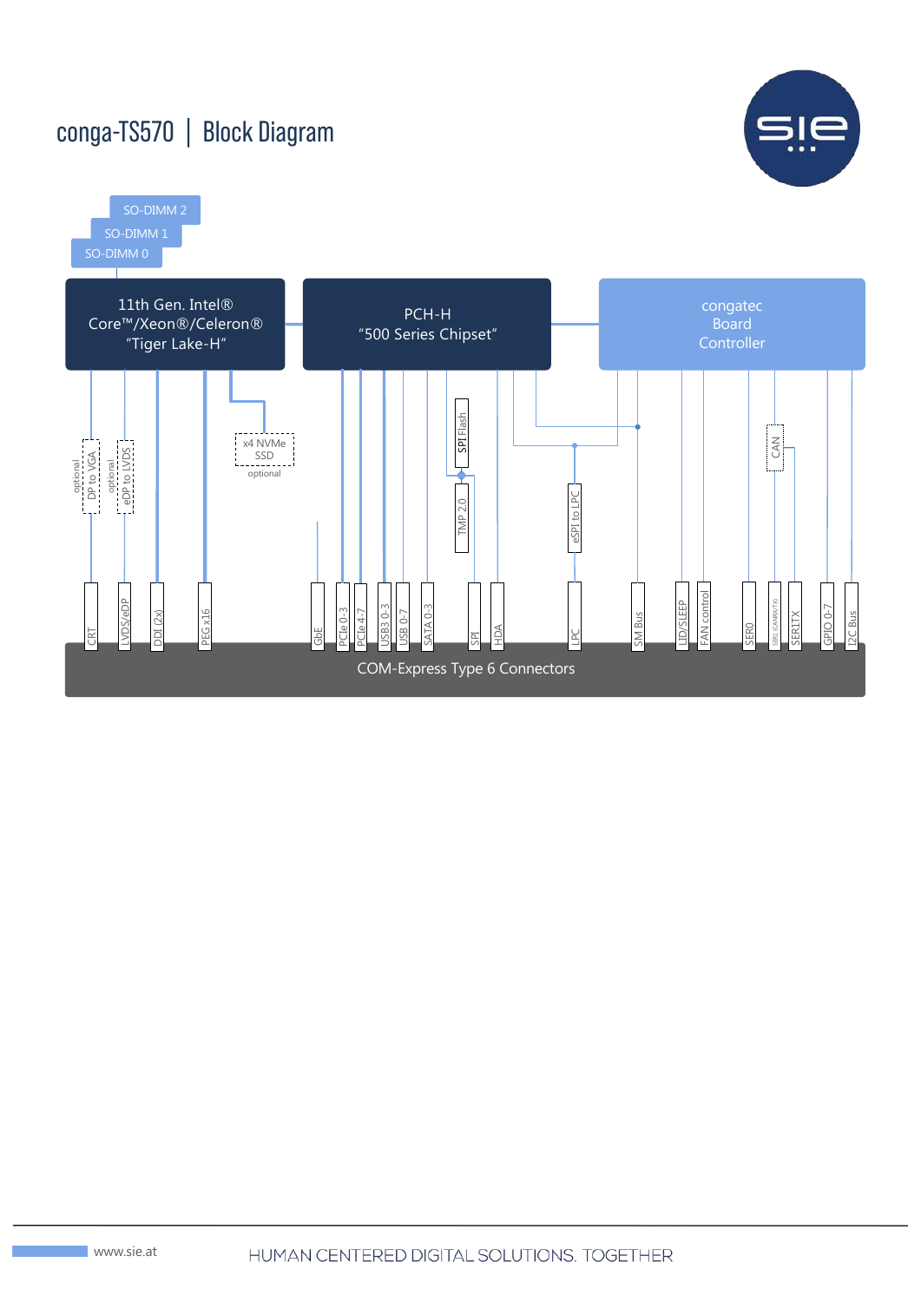## conga-TS570 | Block Diagram



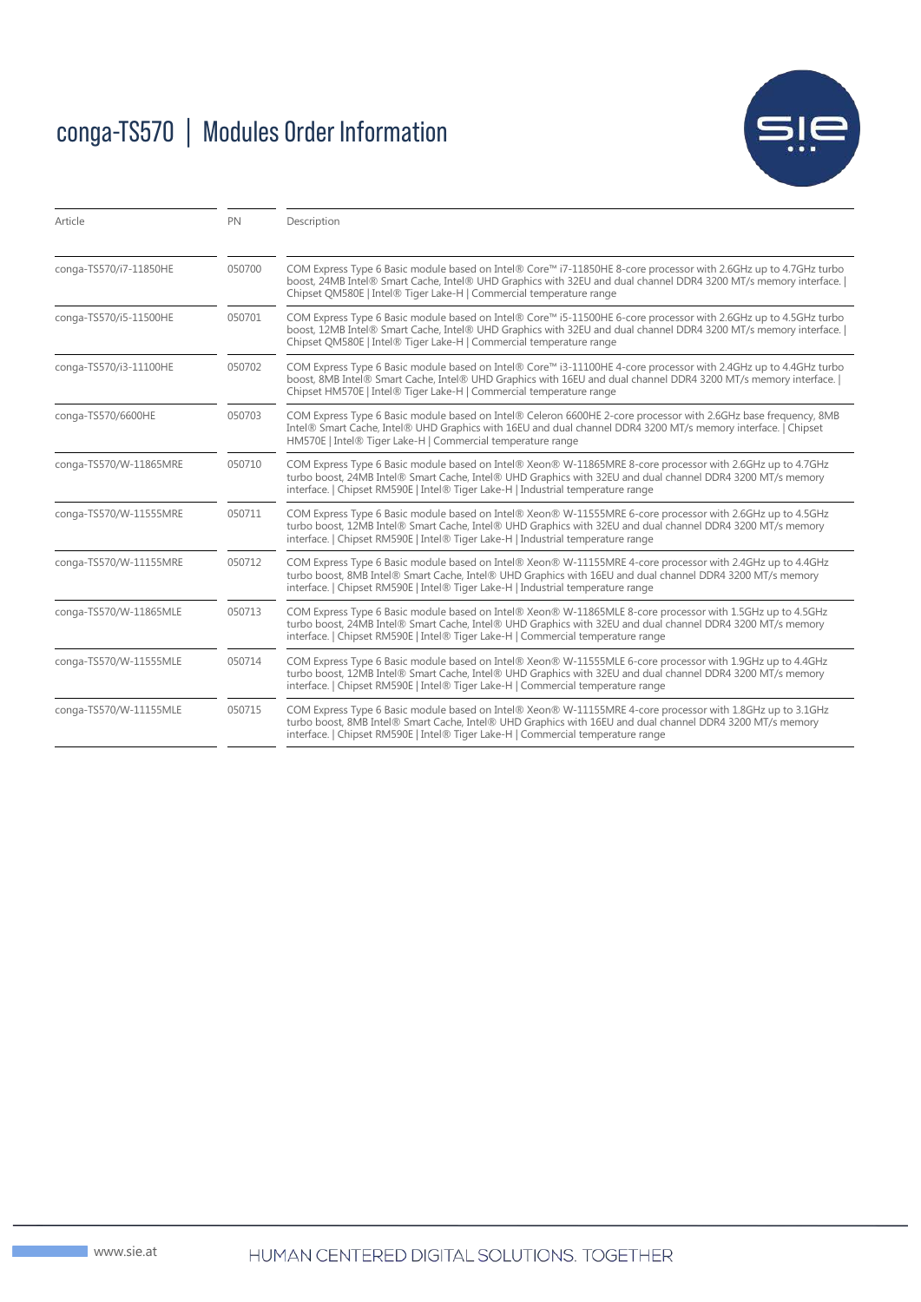# conga-TS570 | Modules Order Information



| Article                | <b>PN</b> | Description                                                                                                                                                                                                                                                                                                  |  |
|------------------------|-----------|--------------------------------------------------------------------------------------------------------------------------------------------------------------------------------------------------------------------------------------------------------------------------------------------------------------|--|
| conga-TS570/i7-11850HE | 050700    | COM Express Type 6 Basic module based on Intel® Core™ i7-11850HE 8-core processor with 2.6GHz up to 4.7GHz turbo<br>boost, 24MB Intel® Smart Cache, Intel® UHD Graphics with 32EU and dual channel DDR4 3200 MT/s memory interface.  <br>Chipset QM580E   Intel® Tiger Lake-H   Commercial temperature range |  |
| conga-TS570/i5-11500HE | 050701    | COM Express Type 6 Basic module based on Intel® Core™ i5-11500HE 6-core processor with 2.6GHz up to 4.5GHz turbo<br>boost, 12MB Intel® Smart Cache, Intel® UHD Graphics with 32EU and dual channel DDR4 3200 MT/s memory interface.  <br>Chipset QM580E   Intel® Tiger Lake-H   Commercial temperature range |  |
| conga-TS570/i3-11100HE | 050702    | COM Express Type 6 Basic module based on Intel® Core™ i3-11100HE 4-core processor with 2.4GHz up to 4.4GHz turbo<br>boost, 8MB Intel® Smart Cache, Intel® UHD Graphics with 16EU and dual channel DDR4 3200 MT/s memory interface.  <br>Chipset HM570E   Intel® Tiger Lake-H   Commercial temperature range  |  |
| conga-TS570/6600HE     | 050703    | COM Express Type 6 Basic module based on Intel® Celeron 6600HE 2-core processor with 2.6GHz base frequency, 8MB<br>Intel® Smart Cache, Intel® UHD Graphics with 16EU and dual channel DDR4 3200 MT/s memory interface.   Chipset<br>HM570E   Intel® Tiger Lake-H   Commercial temperature range              |  |
| conga-TS570/W-11865MRE | 050710    | COM Express Type 6 Basic module based on Intel® Xeon® W-11865MRE 8-core processor with 2.6GHz up to 4.7GHz<br>turbo boost, 24MB Intel® Smart Cache, Intel® UHD Graphics with 32EU and dual channel DDR4 3200 MT/s memory<br>interface.   Chipset RM590E   Intel® Tiger Lake-H   Industrial temperature range |  |
| conga-TS570/W-11555MRE | 050711    | COM Express Type 6 Basic module based on Intel® Xeon® W-11555MRE 6-core processor with 2.6GHz up to 4.5GHz<br>turbo boost, 12MB Intel® Smart Cache, Intel® UHD Graphics with 32EU and dual channel DDR4 3200 MT/s memory<br>interface.   Chipset RM590E   Intel® Tiger Lake-H   Industrial temperature range |  |
| conga-TS570/W-11155MRE | 050712    | COM Express Type 6 Basic module based on Intel® Xeon® W-11155MRE 4-core processor with 2.4GHz up to 4.4GHz<br>turbo boost, 8MB Intel® Smart Cache, Intel® UHD Graphics with 16EU and dual channel DDR4 3200 MT/s memory<br>interface.   Chipset RM590E   Intel® Tiger Lake-H   Industrial temperature range  |  |
| conga-TS570/W-11865MLE | 050713    | COM Express Type 6 Basic module based on Intel® Xeon® W-11865MLE 8-core processor with 1.5GHz up to 4.5GHz<br>turbo boost, 24MB Intel® Smart Cache, Intel® UHD Graphics with 32EU and dual channel DDR4 3200 MT/s memory<br>interface.   Chipset RM590E   Intel® Tiger Lake-H   Commercial temperature range |  |
| conga-TS570/W-11555MLE | 050714    | COM Express Type 6 Basic module based on Intel® Xeon® W-11555MLE 6-core processor with 1.9GHz up to 4.4GHz<br>turbo boost, 12MB Intel® Smart Cache, Intel® UHD Graphics with 32EU and dual channel DDR4 3200 MT/s memory<br>interface.   Chipset RM590E   Intel® Tiger Lake-H   Commercial temperature range |  |
| conga-TS570/W-11155MLE | 050715    | COM Express Type 6 Basic module based on Intel® Xeon® W-11155MRE 4-core processor with 1.8GHz up to 3.1GHz<br>turbo boost, 8MB Intel® Smart Cache, Intel® UHD Graphics with 16EU and dual channel DDR4 3200 MT/s memory<br>interface.   Chipset RM590E   Intel® Tiger Lake-H   Commercial temperature range  |  |